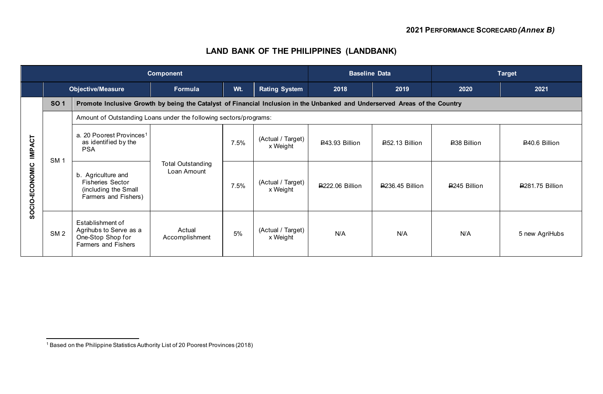# **LAND BANK OF THE PHILIPPINES (LANDBANK)**

|                                 | <b>Component</b> |                                                                                                                            |                                         |      |                               |                        | <b>Baseline Data</b> |                     | <b>Target</b>          |  |  |  |
|---------------------------------|------------------|----------------------------------------------------------------------------------------------------------------------------|-----------------------------------------|------|-------------------------------|------------------------|----------------------|---------------------|------------------------|--|--|--|
|                                 |                  | <b>Objective/Measure</b>                                                                                                   | Formula                                 | Wt.  | <b>Rating System</b>          | 2018                   | 2019                 | 2020                | 2021                   |  |  |  |
| <b>IMPACT</b><br>SOCIO-ECONOMIC | <b>SO1</b>       | Promote Inclusive Growth by being the Catalyst of Financial Inclusion in the Unbanked and Underserved Areas of the Country |                                         |      |                               |                        |                      |                     |                        |  |  |  |
|                                 |                  | Amount of Outstanding Loans under the following sectors/programs:                                                          |                                         |      |                               |                        |                      |                     |                        |  |  |  |
|                                 | <b>SM1</b>       | a. 20 Poorest Provinces <sup>1</sup><br>as identified by the<br><b>PSA</b>                                                 | <b>Total Outstanding</b><br>Loan Amount | 7.5% | (Actual / Target)<br>x Weight | ₽43.93 Billion         | ₽52.13 Billion       | <b>₽38 Billion</b>  | ₽40.6 Billion          |  |  |  |
|                                 |                  | b. Agriculture and<br><b>Fisheries Sector</b><br>(including the Small<br>Farmers and Fishers)                              |                                         | 7.5% | (Actual / Target)<br>x Weight | <b>₽222.06 Billion</b> | ₽236.45 Billion      | <b>P245 Billion</b> | <b>₽281.75 Billion</b> |  |  |  |
|                                 | SM <sub>2</sub>  | Establishment of<br>Agrihubs to Serve as a<br>One-Stop Shop for<br>Farmers and Fishers                                     | Actual<br>Accomplishment                | 5%   | (Actual / Target)<br>x Weight | N/A                    | N/A                  | N/A                 | 5 new AgriHubs         |  |  |  |

<sup>1</sup> Based on the Philippine Statistics Authority List of 20 Poorest Provinces (2018)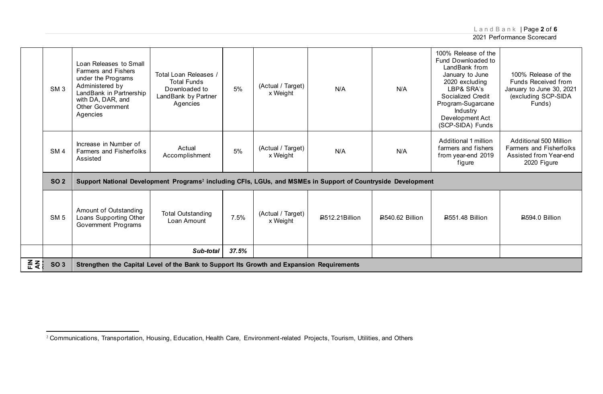LandBank | Page **2** of **6**

|             | SM <sub>3</sub> | Loan Releases to Small<br>Farmers and Fishers<br>under the Programs<br>Administered by<br>LandBank in Partnership<br>with DA, DAR, and<br><b>Other Government</b><br>Agencies | Total Loan Releases /<br><b>Total Funds</b><br>Downloaded to<br>LandBank by Partner<br>Agencies | 5%    | (Actual / Target)<br>x Weight | N/A            | N/A                | 100% Release of the<br>Fund Downloaded to<br>LandBank from<br>January to June<br>2020 excluding<br>LBP& SRA's<br>Socialized Credit<br>Program-Sugarcane<br>Industry<br>Development Act<br>(SCP-SIDA) Funds | 100% Release of the<br>Funds Received from<br>January to June 30, 2021<br>(excluding SCP-SIDA<br>Funds) |  |  |
|-------------|-----------------|-------------------------------------------------------------------------------------------------------------------------------------------------------------------------------|-------------------------------------------------------------------------------------------------|-------|-------------------------------|----------------|--------------------|------------------------------------------------------------------------------------------------------------------------------------------------------------------------------------------------------------|---------------------------------------------------------------------------------------------------------|--|--|
|             | SM <sub>4</sub> | Increase in Number of<br>Farmers and Fisherfolks<br>Assisted                                                                                                                  | Actual<br>Accomplishment                                                                        | 5%    | (Actual / Target)<br>x Weight | N/A            | N/A                | Additional 1 million<br>farmers and fishers<br>from year-end 2019<br>figure                                                                                                                                | Additional 500 Million<br><b>Farmers and Fisherfolks</b><br>Assisted from Year-end<br>2020 Figure       |  |  |
|             | <b>SO 2</b>     | Support National Development Programs <sup>2</sup> including CFIs, LGUs, and MSMEs in Support of Countryside Development                                                      |                                                                                                 |       |                               |                |                    |                                                                                                                                                                                                            |                                                                                                         |  |  |
|             | <b>SM 5</b>     | Amount of Outstanding<br>Loans Supporting Other<br>Government Programs                                                                                                        | <b>Total Outstanding</b><br>Loan Amount                                                         | 7.5%  | (Actual / Target)<br>x Weight | P512.21Billion | $E$ 540.62 Billion | <b>2551.48 Billion</b>                                                                                                                                                                                     | <b>₽594.0 Billion</b>                                                                                   |  |  |
|             |                 |                                                                                                                                                                               | Sub-total                                                                                       | 37.5% |                               |                |                    |                                                                                                                                                                                                            |                                                                                                         |  |  |
| <u> 좀</u> 좋 | <b>SO 3</b>     | Strengthen the Capital Level of the Bank to Support Its Growth and Expansion Requirements                                                                                     |                                                                                                 |       |                               |                |                    |                                                                                                                                                                                                            |                                                                                                         |  |  |

<sup>2</sup> Communications, Transportation, Housing, Education, Health Care, Environment-related Projects, Tourism, Utilities, and Others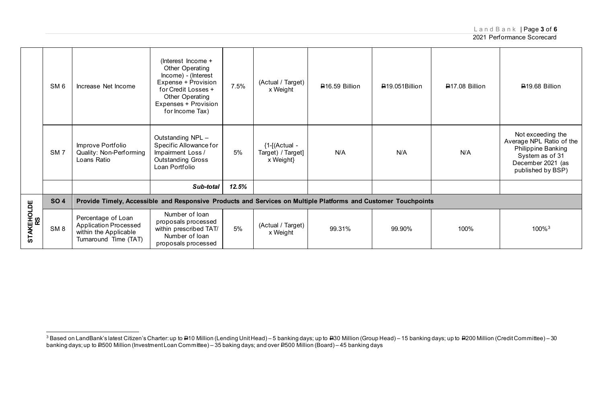LandBank | Page **3** of **6**

2021 Performance Scorecard

|                  |                 |                                                                                                                | (Interest Income +                                                                                                                                 |       |                                                   |                |                |                |                                                                                                                                  |
|------------------|-----------------|----------------------------------------------------------------------------------------------------------------|----------------------------------------------------------------------------------------------------------------------------------------------------|-------|---------------------------------------------------|----------------|----------------|----------------|----------------------------------------------------------------------------------------------------------------------------------|
|                  | SM <sub>6</sub> | Increase Net Income                                                                                            | Other Operating<br>Income) - (Interest<br>Expense + Provision<br>for Credit Losses +<br>Other Operating<br>Expenses + Provision<br>for Income Tax) | 7.5%  | (Actual / Target)<br>x Weight                     | ₽16.59 Billion | ₽19.051Billion | ₽17.08 Billion | ₽19.68 Billion                                                                                                                   |
|                  | SM <sub>7</sub> | Improve Portfolio<br>Quality: Non-Performing<br>Loans Ratio                                                    | Outstanding NPL -<br>Specific Allowance for<br>Impairment Loss /<br><b>Outstanding Gross</b><br>Loan Portfolio                                     | 5%    | ${1-[Actual -}$<br>Target) / Target]<br>x Weight} | N/A            | N/A            | N/A            | Not exceeding the<br>Average NPL Ratio of the<br>Philippine Banking<br>System as of 31<br>December 2021 (as<br>published by BSP) |
|                  |                 |                                                                                                                | Sub-total                                                                                                                                          | 12.5% |                                                   |                |                |                |                                                                                                                                  |
|                  | <b>SO4</b>      | Provide Timely, Accessible and Responsive Products and Services on Multiple Platforms and Customer Touchpoints |                                                                                                                                                    |       |                                                   |                |                |                |                                                                                                                                  |
| STAKEHOLDE<br>RS | SM <sub>8</sub> | Percentage of Loan<br><b>Application Processed</b><br>within the Applicable<br>Turnaround Time (TAT)           | Number of loan<br>proposals processed<br>within prescribed TAT/<br>Number of loan<br>proposals processed                                           | 5%    | (Actual / Target)<br>x Weight                     | 99.31%         | 99.90%         | 100%           | 100% <sup>3</sup>                                                                                                                |

 $^3$  Based on LandBank's latest Citizen's Charter: up to <del>P</del>10 Million (Lending Unit Head) – 5 banking days; up to <del>P</del>30 Million (Group Head) – 15 banking days; up to P200 Million (Credit Committee) – 30 banking days; up to <del>P</del>500 Million (Investment Loan Committee) – 35 baking days; and over <del>P</del>500 Million (Board) – 45 banking days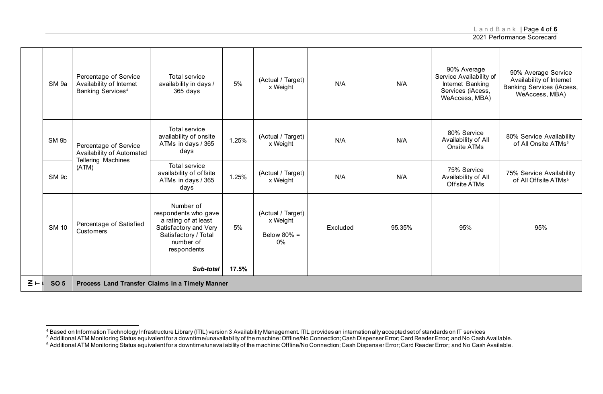LandBank | Page **4** of **6**

|                   | SM 9a            | Percentage of Service<br>Availability of Internet<br>Banking Services <sup>4</sup> | Total service<br>availability in days /<br>365 days                                                                                    | 5%    | (Actual / Target)<br>x Weight                         | N/A      | N/A    | 90% Average<br>Service Availability of<br>Internet Banking<br>Services (iAcess,<br>WeAccess, MBA) | 90% Average Service<br>Availability of Internet<br><b>Banking Services (iAcess,</b><br>WeAccess, MBA) |  |
|-------------------|------------------|------------------------------------------------------------------------------------|----------------------------------------------------------------------------------------------------------------------------------------|-------|-------------------------------------------------------|----------|--------|---------------------------------------------------------------------------------------------------|-------------------------------------------------------------------------------------------------------|--|
|                   | SM <sub>9b</sub> | Percentage of Service<br>Availability of Automated                                 | Total service<br>availability of onsite<br>ATMs in days / 365<br>davs                                                                  | 1.25% | (Actual / Target)<br>x Weight                         | N/A      | N/A    | 80% Service<br>Availability of All<br>Onsite ATMs                                                 | 80% Service Availability<br>of All Onsite ATMs <sup>5</sup>                                           |  |
|                   | SM <sub>9c</sub> | Tellering Machines<br>(ATM)                                                        | Total service<br>availability of offsite<br>ATMs in days / 365<br>days                                                                 | 1.25% | (Actual / Target)<br>x Weight                         | N/A      | N/A    | 75% Service<br>Availability of All<br>Offsite ATMs                                                | 75% Service Availability<br>of All Offsite ATMs <sup>6</sup>                                          |  |
|                   | <b>SM 10</b>     | Percentage of Satisfied<br>Customers                                               | Number of<br>respondents who gave<br>a rating of at least<br>Satisfactory and Very<br>Satisfactory / Total<br>number of<br>respondents | 5%    | (Actual / Target)<br>x Weight<br>Below 80% =<br>$0\%$ | Excluded | 95.35% | 95%                                                                                               | 95%                                                                                                   |  |
|                   |                  |                                                                                    | Sub-total                                                                                                                              | 17.5% |                                                       |          |        |                                                                                                   |                                                                                                       |  |
| $\Sigma$ $\vdash$ | <b>SO 5</b>      | Process Land Transfer Claims in a Timely Manner                                    |                                                                                                                                        |       |                                                       |          |        |                                                                                                   |                                                                                                       |  |

<sup>&</sup>lt;sup>4</sup> Based on Information Technology Infrastructure Library (ITIL) version 3 Availability Management. ITIL provides an internation ally accepted set of standards on IT services<br><sup>5</sup> Additional ATM Monitoring Status equivalen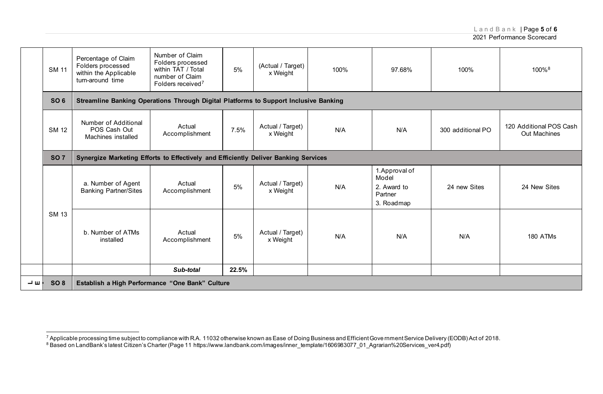LandBank | Page **5** of **6**

|    | <b>SM 11</b>                                                                                      | Percentage of Claim<br>Folders processed<br>within the Applicable<br>turn-around time | Number of Claim<br>Folders processed<br>within TAT / Total<br>number of Claim<br>Folders received <sup>7</sup> | 5%    | (Actual / Target)<br>x Weight | 100% | 97.68%                                                          | 100%              | 100%8                                   |  |  |
|----|---------------------------------------------------------------------------------------------------|---------------------------------------------------------------------------------------|----------------------------------------------------------------------------------------------------------------|-------|-------------------------------|------|-----------------------------------------------------------------|-------------------|-----------------------------------------|--|--|
|    | SO <sub>6</sub>                                                                                   | Streamline Banking Operations Through Digital Platforms to Support Inclusive Banking  |                                                                                                                |       |                               |      |                                                                 |                   |                                         |  |  |
|    | <b>SM 12</b>                                                                                      | Number of Additional<br>POS Cash Out<br>Machines installed                            | Actual<br>Accomplishment                                                                                       | 7.5%  | Actual / Target)<br>x Weight  | N/A  | N/A                                                             | 300 additional PO | 120 Additional POS Cash<br>Out Machines |  |  |
|    | <b>SO7</b><br>Synergize Marketing Efforts to Effectively and Efficiently Deliver Banking Services |                                                                                       |                                                                                                                |       |                               |      |                                                                 |                   |                                         |  |  |
|    |                                                                                                   | a. Number of Agent<br><b>Banking Partner/Sites</b>                                    | Actual<br>Accomplishment                                                                                       | 5%    | Actual / Target)<br>x Weight  | N/A  | 1. Approval of<br>Model<br>2. Award to<br>Partner<br>3. Roadmap | 24 new Sites      | 24 New Sites                            |  |  |
|    | <b>SM 13</b>                                                                                      | b. Number of ATMs<br>installed                                                        | Actual<br>Accomplishment                                                                                       | 5%    | Actual / Target)<br>x Weight  | N/A  | N/A                                                             | N/A               | 180 ATMs                                |  |  |
|    |                                                                                                   |                                                                                       | Sub-total                                                                                                      | 22.5% |                               |      |                                                                 |                   |                                         |  |  |
| ᆜᄖ | SO <sub>8</sub>                                                                                   | Establish a High Performance "One Bank" Culture                                       |                                                                                                                |       |                               |      |                                                                 |                   |                                         |  |  |

<sup>&</sup>lt;sup>7</sup> Applicable processing time subject to compliance with R.A. 11032 otherwise known as Ease of Doing Business and Efficient Gove rnment Service Delivery (EODB) Act of 2018.<br><sup>8</sup> Based on LandBank's latest Citizen's Charter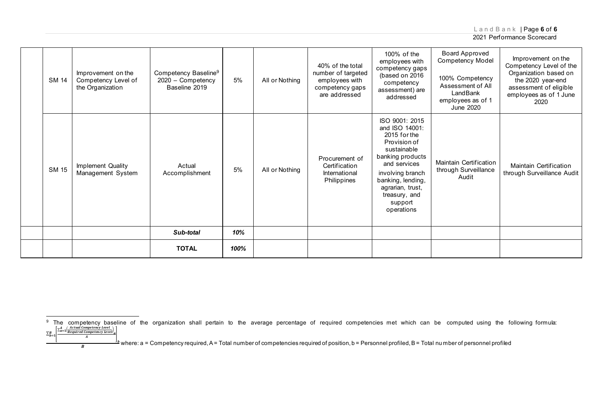### LandBank | Page **6** of **6**

#### 2021 Performance Scorecard

| <b>SM 14</b> | Improvement on the<br>Competency Level of<br>the Organization | Competency Baseline <sup>9</sup><br>2020 - Competency<br>Baseline 2019 | 5%   | All or Nothing | 40% of the total<br>number of targeted<br>employees with<br>competency gaps<br>are addressed | 100% of the<br>employees with<br>competency gaps<br>(based on 2016)<br>competency<br>assessment) are<br>addressed                                                                                                          | <b>Board Approved</b><br>Competency Model<br>100% Competency<br>Assessment of All<br>LandBank<br>employees as of 1<br>June 2020 | Improvement on the<br>Competency Level of the<br>Organization based on<br>the 2020 year-end<br>assessment of eligible<br>employees as of 1 June<br>2020 |
|--------------|---------------------------------------------------------------|------------------------------------------------------------------------|------|----------------|----------------------------------------------------------------------------------------------|----------------------------------------------------------------------------------------------------------------------------------------------------------------------------------------------------------------------------|---------------------------------------------------------------------------------------------------------------------------------|---------------------------------------------------------------------------------------------------------------------------------------------------------|
| <b>SM 15</b> | Implement Quality<br>Management System                        | Actual<br>Accomplishment                                               | 5%   | All or Nothing | Procurement of<br>Certification<br>International<br>Philippines                              | ISO 9001: 2015<br>and ISO 14001:<br>2015 for the<br>Provision of<br>sustainable<br>banking products<br>and services<br>involving branch<br>banking, lending,<br>agrarian, trust,<br>treasury, and<br>support<br>operations | <b>Maintain Certification</b><br>through Surveillance<br>Audit                                                                  | <b>Maintain Certification</b><br>through Surveillance Audit                                                                                             |
|              |                                                               | Sub-total                                                              | 10%  |                |                                                                                              |                                                                                                                                                                                                                            |                                                                                                                                 |                                                                                                                                                         |
|              |                                                               | <b>TOTAL</b>                                                           | 100% |                |                                                                                              |                                                                                                                                                                                                                            |                                                                                                                                 |                                                                                                                                                         |

 $\boldsymbol{A}$ 

<sup>&</sup>lt;sup>9</sup> The competency baseline of the organization shall pertain to the average percentage of required competencies met which can be computed using the following formula:<br>  $\Sigma_{b=1}^B$  $\left[\sum_{a=1}^A\frac{Actual\text{ Computering Level}}{Required\text{ Computering Level}}\right]$  $\sum_{b=1}^B$ 

where: a = Competency required, A = Total number of competencies required of position, b = Personnel profiled, B = Total number of personnel profiled  $\overline{B}$